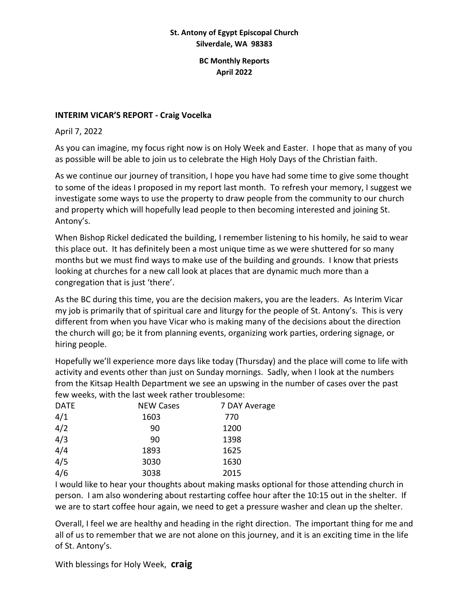#### **St. Antony of Egypt Episcopal Church Silverdale, WA 98383**

#### **BC Monthly Reports April 2022**

### **INTERIM VICAR'S REPORT - Craig Vocelka**

April 7, 2022

As you can imagine, my focus right now is on Holy Week and Easter. I hope that as many of you as possible will be able to join us to celebrate the High Holy Days of the Christian faith.

As we continue our journey of transition, I hope you have had some time to give some thought to some of the ideas I proposed in my report last month. To refresh your memory, I suggest we investigate some ways to use the property to draw people from the community to our church and property which will hopefully lead people to then becoming interested and joining St. Antony's.

When Bishop Rickel dedicated the building, I remember listening to his homily, he said to wear this place out. It has definitely been a most unique time as we were shuttered for so many months but we must find ways to make use of the building and grounds. I know that priests looking at churches for a new call look at places that are dynamic much more than a congregation that is just 'there'.

As the BC during this time, you are the decision makers, you are the leaders. As Interim Vicar my job is primarily that of spiritual care and liturgy for the people of St. Antony's. This is very different from when you have Vicar who is making many of the decisions about the direction the church will go; be it from planning events, organizing work parties, ordering signage, or hiring people.

Hopefully we'll experience more days like today (Thursday) and the place will come to life with activity and events other than just on Sunday mornings. Sadly, when I look at the numbers from the Kitsap Health Department we see an upswing in the number of cases over the past few weeks, with the last week rather troublesome:

| <b>DATE</b> | <b>NEW Cases</b> | 7 DAY Average |
|-------------|------------------|---------------|
| 4/1         | 1603             | 770           |
| 4/2         | 90               | 1200          |
| 4/3         | 90               | 1398          |
| 4/4         | 1893             | 1625          |
| 4/5         | 3030             | 1630          |
| 4/6         | 3038             | 2015          |

I would like to hear your thoughts about making masks optional for those attending church in person. I am also wondering about restarting coffee hour after the 10:15 out in the shelter. If we are to start coffee hour again, we need to get a pressure washer and clean up the shelter.

Overall, I feel we are healthy and heading in the right direction. The important thing for me and all of us to remember that we are not alone on this journey, and it is an exciting time in the life of St. Antony's.

With blessings for Holy Week, **craig**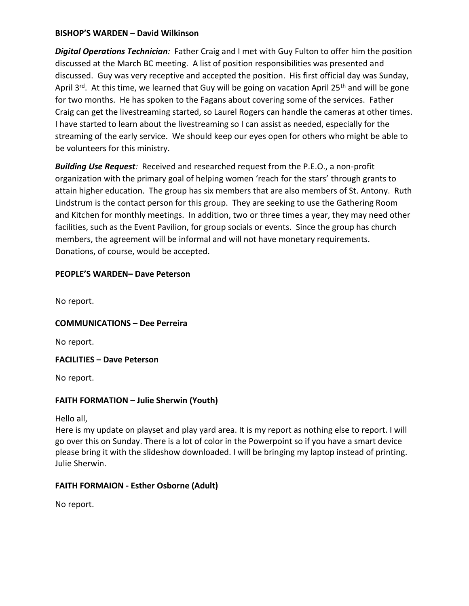#### **BISHOP'S WARDEN – David Wilkinson**

*Digital Operations Technician:* Father Craig and I met with Guy Fulton to offer him the position discussed at the March BC meeting. A list of position responsibilities was presented and discussed. Guy was very receptive and accepted the position. His first official day was Sunday, April 3<sup>rd</sup>. At this time, we learned that Guy will be going on vacation April 25<sup>th</sup> and will be gone for two months. He has spoken to the Fagans about covering some of the services. Father Craig can get the livestreaming started, so Laurel Rogers can handle the cameras at other times. I have started to learn about the livestreaming so I can assist as needed, especially for the streaming of the early service. We should keep our eyes open for others who might be able to be volunteers for this ministry.

*Building Use Request:* Received and researched request from the P.E.O., a non-profit organization with the primary goal of helping women 'reach for the stars' through grants to attain higher education. The group has six members that are also members of St. Antony. Ruth Lindstrum is the contact person for this group. They are seeking to use the Gathering Room and Kitchen for monthly meetings. In addition, two or three times a year, they may need other facilities, such as the Event Pavilion, for group socials or events. Since the group has church members, the agreement will be informal and will not have monetary requirements. Donations, of course, would be accepted.

# **PEOPLE'S WARDEN– Dave Peterson**

No report.

**COMMUNICATIONS – Dee Perreira**

No report.

**FACILITIES – Dave Peterson**

No report.

# **FAITH FORMATION – Julie Sherwin (Youth)**

Hello all,

Here is my update on playset and play yard area. It is my report as nothing else to report. I will go over this on Sunday. There is a lot of color in the Powerpoint so if you have a smart device please bring it with the slideshow downloaded. I will be bringing my laptop instead of printing. Julie Sherwin.

# **FAITH FORMAION - Esther Osborne (Adult)**

No report.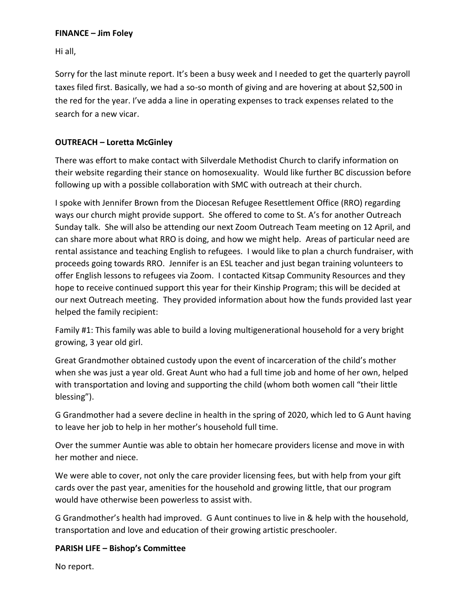### **FINANCE – Jim Foley**

Hi all,

Sorry for the last minute report. It's been a busy week and I needed to get the quarterly payroll taxes filed first. Basically, we had a so-so month of giving and are hovering at about \$2,500 in the red for the year. I've adda a line in operating expenses to track expenses related to the search for a new vicar.

### **OUTREACH – Loretta McGinley**

There was effort to make contact with Silverdale Methodist Church to clarify information on their website regarding their stance on homosexuality. Would like further BC discussion before following up with a possible collaboration with SMC with outreach at their church.

I spoke with Jennifer Brown from the Diocesan Refugee Resettlement Office (RRO) regarding ways our church might provide support. She offered to come to St. A's for another Outreach Sunday talk. She will also be attending our next Zoom Outreach Team meeting on 12 April, and can share more about what RRO is doing, and how we might help. Areas of particular need are rental assistance and teaching English to refugees. I would like to plan a church fundraiser, with proceeds going towards RRO. Jennifer is an ESL teacher and just began training volunteers to offer English lessons to refugees via Zoom. I contacted Kitsap Community Resources and they hope to receive continued support this year for their Kinship Program; this will be decided at our next Outreach meeting. They provided information about how the funds provided last year helped the family recipient:

Family #1: This family was able to build a loving multigenerational household for a very bright growing, 3 year old girl.

Great Grandmother obtained custody upon the event of incarceration of the child's mother when she was just a year old. Great Aunt who had a full time job and home of her own, helped with transportation and loving and supporting the child (whom both women call "their little blessing").

G Grandmother had a severe decline in health in the spring of 2020, which led to G Aunt having to leave her job to help in her mother's household full time.

Over the summer Auntie was able to obtain her homecare providers license and move in with her mother and niece.

We were able to cover, not only the care provider licensing fees, but with help from your gift cards over the past year, amenities for the household and growing little, that our program would have otherwise been powerless to assist with.

G Grandmother's health had improved. G Aunt continues to live in & help with the household, transportation and love and education of their growing artistic preschooler.

#### **PARISH LIFE – Bishop's Committee**

No report.